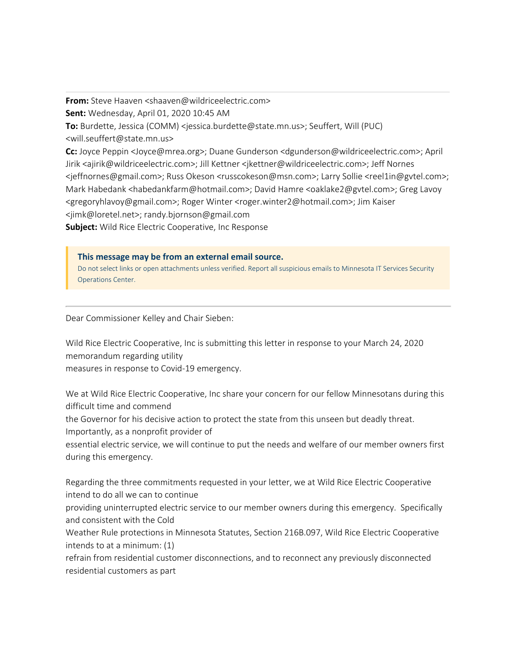**From:** Steve Haaven <shaaven@wildriceelectric.com> **Sent:** Wednesday, April 01, 2020 10:45 AM **To:** Burdette, Jessica (COMM) <jessica.burdette@state.mn.us>; Seuffert, Will (PUC) <will.seuffert@state.mn.us> **Cc:** Joyce Peppin <Joyce@mrea.org>; Duane Gunderson <dgunderson@wildriceelectric.com>; April Jirik <ajirik@wildriceelectric.com>; Jill Kettner <jkettner@wildriceelectric.com>; Jeff Nornes <jeffnornes@gmail.com>; Russ Okeson <russcokeson@msn.com>; Larry Sollie <reel1in@gvtel.com>; Mark Habedank <habedankfarm@hotmail.com>; David Hamre <oaklake2@gvtel.com>; Greg Lavoy <gregoryhlavoy@gmail.com>; Roger Winter <roger.winter2@hotmail.com>; Jim Kaiser <jimk@loretel.net>; randy.bjornson@gmail.com

**Subject:** Wild Rice Electric Cooperative, Inc Response

**This message may be from an external email source.**

Do not select links or open attachments unless verified. Report all suspicious emails to Minnesota IT Services Security Operations Center.

Dear Commissioner Kelley and Chair Sieben:

Wild Rice Electric Cooperative, Inc is submitting this letter in response to your March 24, 2020 memorandum regarding utility

measures in response to Covid-19 emergency.

We at Wild Rice Electric Cooperative, Inc share your concern for our fellow Minnesotans during this difficult time and commend

the Governor for his decisive action to protect the state from this unseen but deadly threat.

Importantly, as a nonprofit provider of

essential electric service, we will continue to put the needs and welfare of our member owners first during this emergency.

Regarding the three commitments requested in your letter, we at Wild Rice Electric Cooperative intend to do all we can to continue

providing uninterrupted electric service to our member owners during this emergency. Specifically and consistent with the Cold

Weather Rule protections in Minnesota Statutes, Section 216B.097, Wild Rice Electric Cooperative intends to at a minimum: (1)

refrain from residential customer disconnections, and to reconnect any previously disconnected residential customers as part